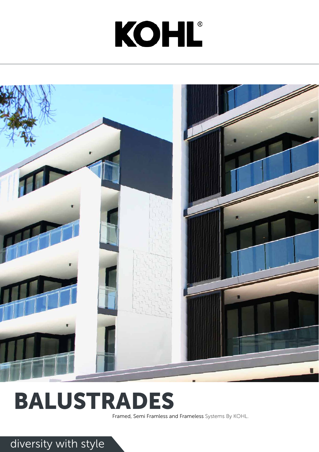# diversity with style

# KOHL®



# BALUSTRADES

Framed, Semi Framless and Frameless Systems By KOHL.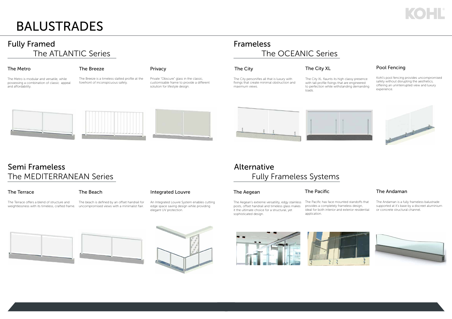# BALUSTRADES

# Fully Framed The ATLANTIC Series

The Metro is modular and versatile, while possessing a combination of classic appeal and affordability.

### The Metro **The Breeze**

The Breeze is a timeless slatted profile at the forefront of inconspicuous safety.

### Privacy

Private "Obscure" glass in the classic, customisable frame to provide a different solution for lifestyle design.









# Semi Frameless The MEDITERRANEAN Series

## The Terrace The Beach

The Terrace offers a blend of structure and weightlessness with its timeless, crafted frame.

The beach is defined by an offset handrail for uncompromised views with a minimalist flair.

# Integrated Louvre

An Integrated Louvre System enables cutting edge space saving design while providing elegant UV protection.

## The Aegean The Pacific

# Frameless The OCEANIC Series

The City personifies all that is luxury with fixings that create minimal obstruction and maximum views.

## The City **The City**

The City XL flaunts its high classy presence with tall profile fixings that are engineered to perfection while withstanding demanding loads.

# Alternative Fully Frameless Systems

The Aegean's extreme versatility, edgy stainless posts, offset handrail and timeless glass makes it the ultimate choice for a structural, yet sophisticated design.









The Pacific has face mounted standoffs that provides a completely frameless design, ideal for both interior and exterior residential application.

# The Andaman

The Andaman is a fully frameless balustrade supported at it's base by a discreet aluminium or concrete structural channel.





Kohl's pool fencing provides uncompromised safety without disrupting the aesthetics, offering an uninterrupted view and luxury experience.



# Pool Fencing